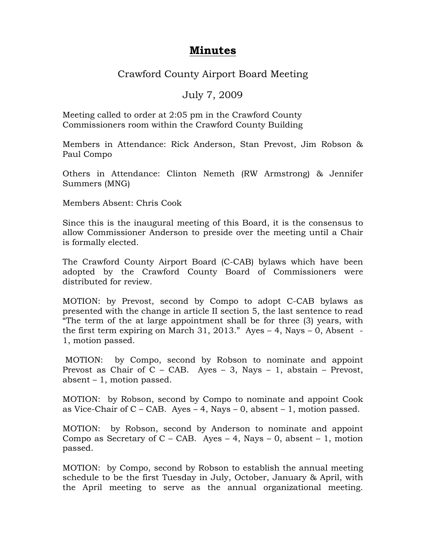## **Minutes**

## Crawford County Airport Board Meeting

## July 7, 2009

Meeting called to order at 2:05 pm in the Crawford County Commissioners room within the Crawford County Building

Members in Attendance: Rick Anderson, Stan Prevost, Jim Robson & Paul Compo

Others in Attendance: Clinton Nemeth (RW Armstrong) & Jennifer Summers (MNG)

Members Absent: Chris Cook

Since this is the inaugural meeting of this Board, it is the consensus to allow Commissioner Anderson to preside over the meeting until a Chair is formally elected.

The Crawford County Airport Board (C-CAB) bylaws which have been adopted by the Crawford County Board of Commissioners were distributed for review.

MOTION: by Prevost, second by Compo to adopt C-CAB bylaws as presented with the change in article II section 5, the last sentence to read "The term of the at large appointment shall be for three (3) years, with the first term expiring on March 31, 2013." Ayes  $-4$ , Nays  $-0$ , Absent -1, motion passed.

MOTION: by Compo, second by Robson to nominate and appoint Prevost as Chair of C - CAB. Ayes - 3, Nays - 1, abstain - Prevost, absent  $-1$ , motion passed.

MOTION: by Robson, second by Compo to nominate and appoint Cook as Vice-Chair of  $C$  – CAB. Ayes – 4, Nays – 0, absent – 1, motion passed.

MOTION: by Robson, second by Anderson to nominate and appoint Compo as Secretary of  $C - CAB$ . Ayes  $- 4$ , Nays  $- 0$ , absent  $- 1$ , motion passed.

MOTION: by Compo, second by Robson to establish the annual meeting schedule to be the first Tuesday in July, October, January & April, with the April meeting to serve as the annual organizational meeting.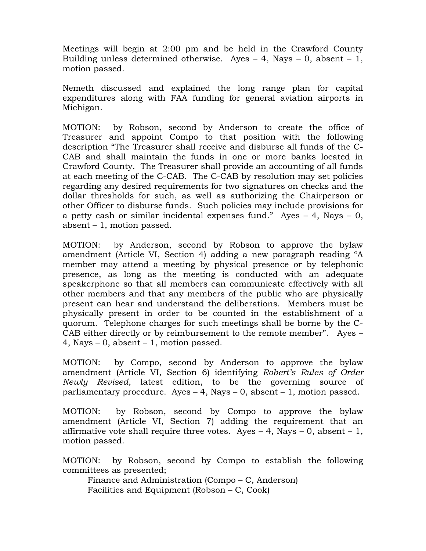Meetings will begin at 2:00 pm and be held in the Crawford County Building unless determined otherwise. Ayes  $-4$ , Nays  $-0$ , absent  $-1$ , motion passed.

Nemeth discussed and explained the long range plan for capital expenditures along with FAA funding for general aviation airports in Michigan.

MOTION: by Robson, second by Anderson to create the office of Treasurer and appoint Compo to that position with the following description "The Treasurer shall receive and disburse all funds of the C-CAB and shall maintain the funds in one or more banks located in Crawford County. The Treasurer shall provide an accounting of all funds at each meeting of the C-CAB. The C-CAB by resolution may set policies regarding any desired requirements for two signatures on checks and the dollar thresholds for such, as well as authorizing the Chairperson or other Officer to disburse funds. Such policies may include provisions for a petty cash or similar incidental expenses fund." Ayes  $-4$ , Nays  $-0$ , absent  $-1$ , motion passed.

by Anderson, second by Robson to approve the bylaw MOTION: amendment (Article VI, Section 4) adding a new paragraph reading "A member may attend a meeting by physical presence or by telephonic presence, as long as the meeting is conducted with an adequate speakerphone so that all members can communicate effectively with all other members and that any members of the public who are physically present can hear and understand the deliberations. Members must be physically present in order to be counted in the establishment of a quorum. Telephone charges for such meetings shall be borne by the C-CAB either directly or by reimbursement to the remote member". Ayes – 4, Nays  $-0$ , absent  $-1$ , motion passed.

MOTION: by Compo, second by Anderson to approve the bylaw amendment (Article VI, Section 6) identifying Robert's Rules of Order Newly Revised, latest edition, to be the governing source of parliamentary procedure. Ayes  $-4$ , Nays  $-0$ , absent  $-1$ , motion passed.

by Robson, second by Compo to approve the bylaw MOTION: amendment (Article VI, Section 7) adding the requirement that an affirmative vote shall require three votes. Ayes  $-4$ , Nays  $-0$ , absent  $-1$ , motion passed.

by Robson, second by Compo to establish the following MOTION: committees as presented;

Finance and Administration (Compo – C, Anderson) Facilities and Equipment (Robson – C, Cook)